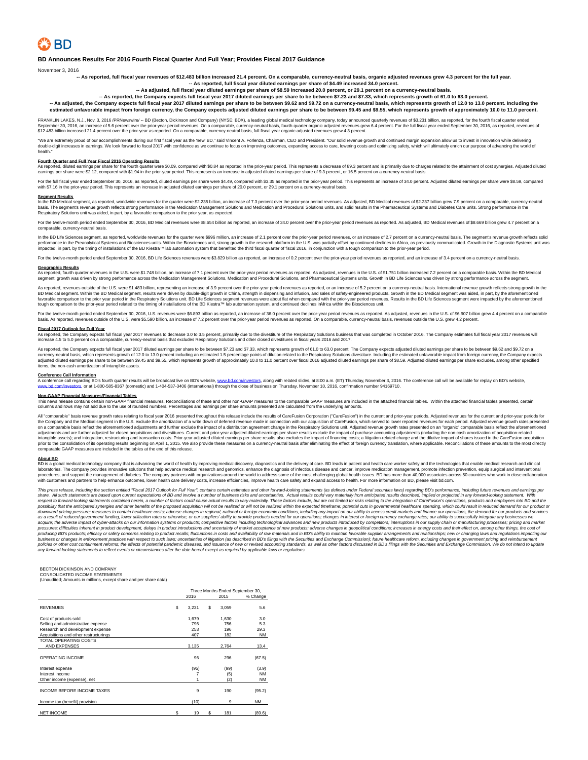# **BD Announces Results For 2016 Fourth Fiscal Quarter And Full Year; Provides Fiscal 2017 Guidance**

November 3, 2016

**-- As reported, full fiscal year revenues of \$12.483 billion increased 21.4 percent. On a comparable, currency-neutral basis, organic adjusted revenues grew 4.3 percent for the full year. -- As reported, full fiscal year diluted earnings per share of \$4.49 increased 34.0 percent.**

**-- As adjusted, full fiscal year diluted earnings per share of \$8.59 increased 20.0 percent, or 29.1 percent on a currency-neutral basis.**

**-- As reported, the Company expects full fiscal year 2017 diluted earnings per share to be between \$7.23 and \$7.33, which represents growth of 61.0 to 63.0 percent.**

**-- As adjusted, the Company expects full fiscal year 2017 diluted earnings per share to be between \$9.62 and \$9.72 on a currency-neutral basis, which represents growth of 12.0 to 13.0 percent. Including the** estimated unfavorable impact from foreign currency, the Company expects adjusted diluted earnings per share to be between \$9.45 and \$9.55, which represents growth of approximately 10.0 to 11.0 percent.

FRANKLIN LAKES, N.J., Nov. 3, 2016 /PRNewswire/ -- BD (Becton, Dickinson and Company) (NYSE: BDX), a leading global medical technology company, today announced quarterly revenues of \$3,231 billion, as reported, for the fou September 30, 2016, an increase of 5.6 percent over the prior-year period revenues. On a comparable, currency-neutral basis, full fiscal year endences of a comparable, encept of the full fiscal year ended on the full fisca

"We are extremely proud of our accomplishments during our first fiscal year as the 'new BD," said Vincent A. Forlenza, Charman, CEO and President. "Our solid revenue growth and continued margin expansion allow us to invest health."

## **Fourth Quarter and Full Year Fiscal 2016 Operating Results**

As reported, diluted earnings per share for the fourth quarter were \$0.09, compared with \$0.84 as reported in the prior-year period. This represents a decrease of 89.3 percent on the prior-year period. This represents an i

For the full fiscal year ended September 30, 2016, as reported, diluted ennings per share were \$449, compared with \$3.35 as reported in the prior-year perior of the princes and increase of 34.0 percent and percept on a cur

## **Segment Results**

In the BD Medical segment, as reported, worldwide revenues for the quarter were \$2.235 billion, an increase of 7.3 percent over the prior-year period revenues. As adjusted, BD Medical revenues of \$2.237 billion grew 7.9 pe

For the twelve-month period ended September 30, 2016, BD Medical revenues were \$8.654 billion as reported, an increase of 34.0 percent over the prior-year period revenues as reported. As adjusted, BD Medical revenues of \$8 comparable, currency-neutral base

In the BD Life Sciences segment, as reported, worldwide revenues for the quarter were \$996 million, an increase of 2.1 percent over the prior-year period revenues, or an increase of 2.7 percent on a currency-neutral basis

month period ended September 30, 2016, BD Life Sciences revenues were \$3.829 billion as reported, an increase of 0.2 percent over the prior-year period revenues as reported, and an increase of 3.4 percent on a currency-neu

## **Geographic Results**

As reported, fourth quarter revenues in the U.S. were \$1.748 billion, an increase of .1 percent over the prior-year period revenues as reported. As adjusted, revenues in the U.S. of \$1.751 billion increased 7.2 percent on

As reported, revenues outside of the U.S. were \$1.483 billion, representing an increase of 3.9 percent over the prior-year period revenues as reported, or an increase of 5.2 percent on a currency-neutral basis. Internation BD Medical segment. Within the BD Medical segment, results were driven by double-digit growth in China, strength in dispensing and infusion, and sales of safety-engineered products. Growth in the BD Medical segment was ai

For the twelve-month period ended September 30, 2016, U.S. revenues were \$6.893 billion as reported, an increase of 36.0 percent over the prior-year period revenues as reported. On a comparable, weren comparable, weren loc

Eiscal 2017 Outlook for Eull Year.<br>As reported, the Compary expects full fiscal year 2017 revenues to decrease 3.0 to 3.5 percent, primarily due to the divestiture of the Respiratory Solutions business that was completed i

As reported, the Company expects full fiscal year 2017 diluted earnings per share to be between \$7.23 and \$7.33, which represents growth of 61.0 to 63.0 percent. The Company expects adjusted diluted earnings per share to b

Conference Call Information<br>A conference call regarding BD's fourth quarter results will be broadcast live on BD's website, www.bd.com/inve ors, along with related slides, at 8:00 a.m. (ET) Thursday, November 3, 2016. The conference call will be available for replay on BD's website, es, or at 1-800-585-8367 (domestic) and 1-404-537-3406 (international) through the close of business on Thursday, November 10, 2016, confirmation number 94169710.

# **Non-GAAP Financial Measures/Financial Tables**

This news release contains certain non-GAP financial measures. Reconciliations of these and other non-GAP measures to the comparable GAP measures are included in the attached financial tables. Within the attached financial

All "comparable" basis revenue growth rates relating to fiscal year 2016 presented throughout this release include the results of CareFusion Corporation ("CareFusion") in the current and prior-year periods. Adjusted revenu the Company and the Medical segment in the U.S. exclude the amortization of a write down of deferred revenue made in connection with our acquisition of CareFusion, which served to lower reported revenues for each period. A

About BD<br>BD is a global medical technology company that is advancing the world of health by improving medical discovery, diagnostics and the delivery of care. BD leads in patient and health care worker safety and the techn laboratories. The company provides innovative solutions that help advance medical research and genomics, enhance the diagnosis of infectious disease and cancer, improve medication management, promote infection prevention,

This press release, including the section entitled "Fiscal 2017 Dution for Full Year", contains cerain estimate and other forward-looking statements (as defined under frederal section and the fredrame section entitled in a pressures; difficulties inherent in product development, delay in product introductions and uncertainty of market acceptance of new producting Dayslom in favoritions in pressures in energy costs and and interest in the sec

## BECTON DICKINSON AND COMPANY CONSOLIDATED INCOME STATEMENTS

(Unaudited; Amounts in millions, except share and per share data)

|                                       |    |       |    | Three Months Ended September 30, |           |
|---------------------------------------|----|-------|----|----------------------------------|-----------|
|                                       |    | 2016  |    | 2015                             | % Change  |
| <b>REVENUES</b>                       | S  | 3.231 | \$ | 3.059                            | 5.6       |
| Cost of products sold                 |    | 1,679 |    | 1,630                            | 3.0       |
| Selling and administrative expense    |    | 796   |    | 756                              | 5.3       |
| Research and development expense      |    | 253   |    | 196                              | 29.3      |
| Acquisitions and other restructurings |    | 407   |    | 182                              | <b>NM</b> |
| TOTAL OPERATING COSTS                 |    |       |    |                                  |           |
| AND EXPENSES                          |    | 3.135 |    | 2.764                            | 13.4      |
| OPERATING INCOME                      |    | 96    |    | 296                              | (67.5)    |
| Interest expense                      |    | (95)  |    | (99)                             | (3.9)     |
| Interest income                       |    |       |    | (5)                              | <b>NM</b> |
| Other income (expense), net           |    |       |    | (2)                              | <b>NM</b> |
| INCOME BEFORE INCOME TAXES            |    | 9     |    | 190                              | (95.2)    |
| Income tax (benefit) provision        |    | (10)  |    | 9                                | <b>NM</b> |
| <b>NET INCOME</b>                     | \$ | 19    | s  | 181                              | (89.6)    |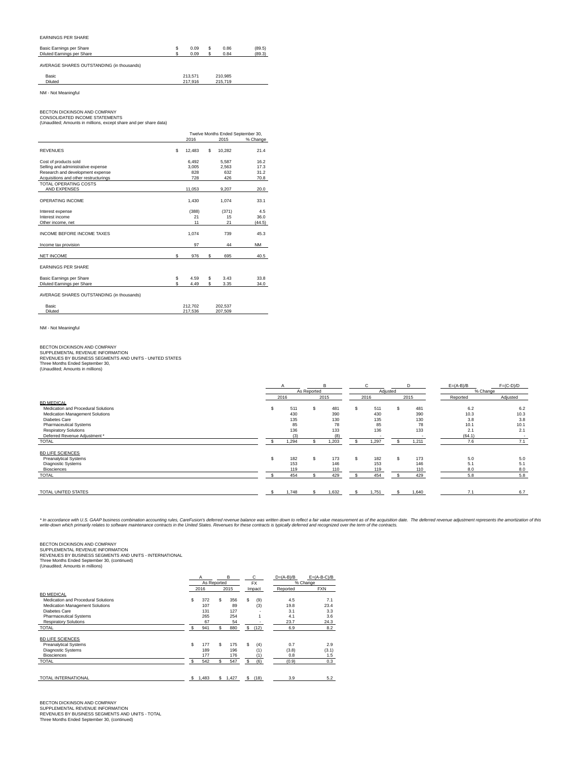# EARNINGS PER SHARE

| Basic Earnings per Share<br>Diluted Earnings per Share | 0.09<br>0.09       | \$<br>0.86<br>0.84 | (89.5)<br>(89.3) |
|--------------------------------------------------------|--------------------|--------------------|------------------|
| AVERAGE SHARES OUTSTANDING (in thousands)              |                    |                    |                  |
| Basic<br>Diluted                                       | 213,571<br>217.916 | 210.985<br>215,719 |                  |
| NM - Not Meaningful                                    |                    |                    |                  |

BECTON DICKINSON AND COMPANY CONSOLIDATED INCOME STATEMENTS (Unaudited; Amounts in millions, except share and per share data)

|                                           |     |         | Twelve Months Ended September 30, |           |
|-------------------------------------------|-----|---------|-----------------------------------|-----------|
|                                           |     | 2016    | 2015                              | % Change  |
| <b>REVENUES</b>                           | \$  | 12.483  | \$<br>10.282                      | 21.4      |
| Cost of products sold                     |     | 6.492   | 5.587                             | 16.2      |
| Selling and administrative expense        |     | 3.005   | 2.563                             | 17.3      |
| Research and development expense          |     | 828     | 632                               | 31.2      |
| Acquisitions and other restructurings     |     | 728     | 426                               | 70.8      |
| <b>TOTAL OPERATING COSTS</b>              |     |         |                                   |           |
| AND EXPENSES                              |     | 11,053  | 9.207                             | 20.0      |
| OPERATING INCOME                          |     | 1,430   | 1,074                             | 33.1      |
| Interest expense                          |     | (388)   | (371)                             | 4.5       |
| Interest income                           |     | 21      | 15                                | 36.0      |
| Other income, net                         |     | 11      | 21                                | (44.5)    |
| INCOME BEFORE INCOME TAXES                |     | 1.074   | 739                               | 45.3      |
| Income tax provision                      |     | 97      | 44                                | <b>NM</b> |
| <b>NET INCOME</b>                         | \$  | 976     | \$<br>695                         | 40.5      |
| <b>EARNINGS PER SHARE</b>                 |     |         |                                   |           |
| Basic Earnings per Share                  | \$  | 4.59    | \$<br>3.43                        | 33.8      |
| Diluted Earnings per Share                | \$. | 4.49    | \$<br>3.35                        | 34.0      |
| AVERAGE SHARES OUTSTANDING (in thousands) |     |         |                                   |           |
| Basic                                     |     | 212.702 | 202,537                           |           |
| Diluted                                   |     | 217.536 | 207.509                           |           |

NM - Not Meaningful

BECTON DICKINSON AND COMPANY<br>SUPPLEMENTAL REVENUE INFORMATION<br>REVENUES BY BUSINESS SEGMENTS AND UNITS - UNITED STATES Three Months Ended September 30, (Unaudited; Amounts in millions)

|                                     |       |             | B     |     | C.       |   | D     | $E=(A-B)/B$ | $F=(C-D)/D$ |
|-------------------------------------|-------|-------------|-------|-----|----------|---|-------|-------------|-------------|
|                                     |       | As Reported |       |     | Adjusted |   |       | % Change    |             |
|                                     | 2016  |             | 2015  |     | 2016     |   | 2015  | Reported    | Adjusted    |
| <b>BD MEDICAL</b>                   |       |             |       |     |          |   |       |             |             |
| Medication and Procedural Solutions | 511   |             | 481   | \$. | 511      | s | 481   | 6.2         | 6.2         |
| Medication Management Solutions     | 430   |             | 390   |     | 430      |   | 390   | 10.3        | 10.3        |
| Diabetes Care                       | 135   |             | 130   |     | 135      |   | 130   | 3.8         | 3.8         |
| <b>Pharmaceutical Systems</b>       | 85    |             | 78    |     | 85       |   | 78    | 10.1        | 10.1        |
| <b>Respiratory Solutions</b>        | 136   |             | 133   |     | 136      |   | 133   | 2.1         | 2.1         |
| Deferred Revenue Adjustment *       | (3)   |             | (8)   |     |          |   |       | (64.1)      |             |
| TOTAL                               | 1,294 |             | 1,203 |     | 1,297    |   | 1,211 | 7.6         | 7.1         |
| <b>BD LIFE SCIENCES</b>             |       |             |       |     |          |   |       |             |             |
| <b>Preanalytical Systems</b>        | 182   |             | 173   | \$. | 182      |   | 173   | 5.0         | 5.0         |
| Diagnostic Systems                  | 153   |             | 146   |     | 153      |   | 146   | 5.1         | 5.1         |
| Biosciences                         | 119   |             | 110   |     | 119      |   | 110   | 8.0         | 8.0         |
| TOTAL                               | 454   |             | 429   |     | 454      |   | 429   | 5.8         | 5.8         |
| TOTAL UNITED STATES                 |       |             |       |     |          |   |       | 7.1         | 6.7         |
|                                     | 1,748 |             | 1,632 |     | 1,751    |   | 1,640 |             |             |

\* In accordance with U.S. GAAP business combination accounting rules, CareFusion's deferred revenue balance was written down to reflect a fair value measurement as of the acquisition defact a fair and the United States. Re

BECTON DICKINSON AND COMPANY<br>SUPPLEMENTAL REVENUE INFORMATION<br>REVENUES BY BUSINESS SEGMENTS AND UNITS - INTERNATIONAL<br>Three Months Ended September 30, (continued)<br>(Unaudited; Amounts in millions)

|                                     |     | A                   |     | в    |    | C         | $D=(A-B)/B$ | $E=(A-B-C)/B$ |
|-------------------------------------|-----|---------------------|-----|------|----|-----------|-------------|---------------|
|                                     |     | As Reported<br>2016 |     |      |    | <b>FX</b> |             | % Change      |
|                                     |     |                     |     | 2015 |    | Impact    | Reported    | <b>FXN</b>    |
| <b>BD MEDICAL</b>                   |     |                     |     |      |    |           |             |               |
| Medication and Procedural Solutions | s   | 372                 | S   | 356  | \$ | (9)       | 4.5         | 7.1           |
| Medication Management Solutions     |     | 107                 |     | 89   |    | (3)       | 19.8        | 23.4          |
| <b>Diabetes Care</b>                |     | 131                 |     | 127  |    | ٠         | 3.1         | 3.3           |
| <b>Pharmaceutical Systems</b>       |     | 265                 |     | 254  |    |           | 4.1         | 3.6           |
| <b>Respiratory Solutions</b>        |     | 67                  |     | 54   |    |           | 23.7        | 24.3          |
| <b>TOTAL</b>                        | \$. | 941                 | S   | 880  | \$ | (12)      | 6.9         | 8.2           |
| <b>BD LIFE SCIENCES</b>             |     |                     |     |      |    |           |             |               |
| <b>Preanalytical Systems</b>        | \$  | 177                 | \$. | 175  | \$ | (4)       | 0.7         | 2.9           |
| <b>Diagnostic Systems</b>           |     | 189                 |     | 196  |    | (1)       | (3.8)       | (3.1)         |
| <b>Biosciences</b>                  |     | 177                 |     | 176  |    | (1)       | 0.8         | 1.5           |
| <b>TOTAL</b>                        |     | 542                 | \$. | 547  | S  | (6)       | (0.9)       | 0.3           |
|                                     |     |                     |     |      |    |           |             |               |

BECTON DICKINSON AND COMPANY<br>SUPPLEMENTAL REVENUE INFORMATION<br>REVENUES BY BUSINESS SEGMENTS AND UNITS - TOTAL<br>Three Months Ended September 30, (continued)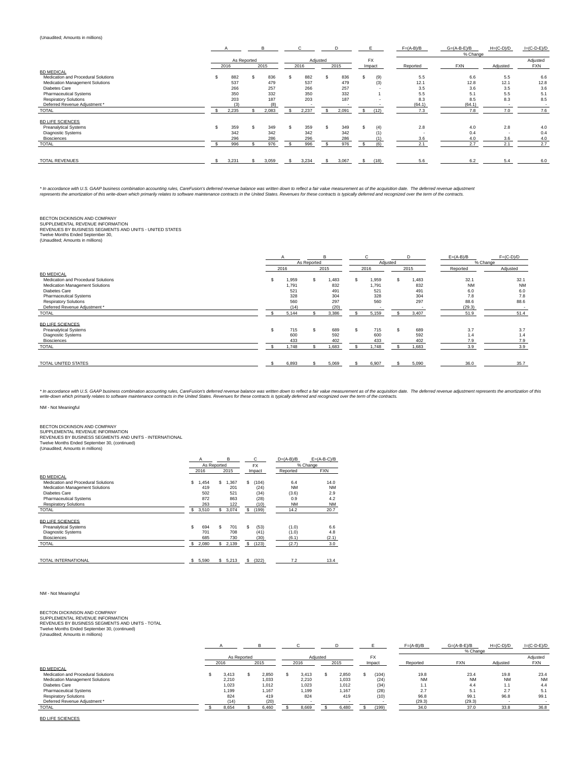# (Unaudited; Amounts in millions)

|                                     |       |             |       |       |          |       |           | $F=(A-B)/B$ | $G=(A-B-E)/B$ | $H=(C-D)/D$              | $I=(C-D-E)/D$ |
|-------------------------------------|-------|-------------|-------|-------|----------|-------|-----------|-------------|---------------|--------------------------|---------------|
|                                     |       |             |       |       |          |       |           |             | % Change      |                          |               |
|                                     |       | As Reported |       |       | Adjusted |       | <b>FX</b> |             |               |                          | Adjusted      |
|                                     | 2016  |             | 2015  | 2016  |          | 2015  | Impact    | Reported    | <b>FXN</b>    | Adjusted                 | <b>FXN</b>    |
| <b>BD MEDICAL</b>                   |       |             |       |       |          |       |           |             |               |                          |               |
| Medication and Procedural Solutions | 882   | \$.         | 836   | 882   |          | 836   | (9)       | 5.5         | 6.6           | 5.5                      | 6.6           |
| Medication Management Solutions     | 537   |             | 479   | 537   |          | 479   | (3)       | 12.1        | 12.8          | 12.1                     | 12.8          |
| <b>Diabetes Care</b>                | 266   |             | 257   | 266   |          | 257   |           | 3.5         | 3.6           | 3.5                      | 3.6           |
| <b>Pharmaceutical Systems</b>       | 350   |             | 332   | 350   |          | 332   |           | 5.5         | 5.1           | 5.5                      | 5.1           |
| <b>Respiratory Solutions</b>        | 203   |             | 187   | 203   |          | 187   |           | 8.3         | 8.5           | 8.3                      | 8.5           |
| Deferred Revenue Adjustment *       |       |             | (8)   |       |          |       |           | (64.1)      | (64.1)        |                          |               |
| <b>TOTAL</b>                        | 2,235 |             | 2,083 | 2.237 |          | 2.091 | (12)      | 7.3         | 7.8           | 7.0                      | 7.6           |
| <b>BD LIFE SCIENCES</b>             |       |             |       |       |          |       |           |             |               |                          |               |
| <b>Preanalytical Systems</b>        | 359   |             | 349   | 359   |          | 349   | (4)       | 2.8         | 4.0           | 2.8                      | 4.0           |
| Diagnostic Systems                  | 342   |             | 342   | 342   |          | 342   | (1)       | . .         | 0.4           | $\overline{\phantom{a}}$ | 0.4           |
| <b>Biosciences</b>                  | 296   |             | 286   | 296   |          | 286   | (1)       | 3.6         | 4.0           | 3.6                      | 4.0           |
| <b>TOTAL</b>                        | 996   |             | 976   | 996   |          | 976   | (6)       | 2.1         | 2.7           | 2.1                      | 2.7           |
|                                     |       |             |       |       |          |       |           |             |               |                          |               |
| TOTAL REVENUES                      | 3,231 |             | 3,059 | 3,234 |          | 3,067 | (18)      | 5.6         | 6.2           | 5.4                      | 6.0           |

\* In accordance with U.S. GAAP business combination accounting rules, CareFusion's deferred revenue balance was written down to reflect a fair value measurement as of the acquistion date. The deferred revenue of the experi

BECTON DICKINSON AND COMPANY<br>SUPPLEMENTAL REVENUE INFORMATION<br>REVENUES BY BUSINESS SEGMENTS AND UNITS - UNITED STATES<br>Twelve Months Ended September 30,<br>(Unaudited; Amounts in millions)

|                                                                                                                                                                                                                |                |                                             | As Reported | B                                |     | $\sim$                              | Adiusted |                                   | $E=(A-B)/B$                                       | $F=(C-D)/D$<br>% Change                 |
|----------------------------------------------------------------------------------------------------------------------------------------------------------------------------------------------------------------|----------------|---------------------------------------------|-------------|----------------------------------|-----|-------------------------------------|----------|-----------------------------------|---------------------------------------------------|-----------------------------------------|
|                                                                                                                                                                                                                |                | 2016                                        |             | 2015                             |     | 2016                                |          | 2015                              | Reported                                          | Adjusted                                |
| <b>BD MEDICAL</b><br>Medication and Procedural Solutions<br>Medication Management Solutions<br>Diabetes Care<br><b>Pharmaceutical Systems</b><br><b>Respiratory Solutions</b><br>Deferred Revenue Adjustment * |                | 1,959<br>1.791<br>521<br>328<br>560<br>(14) | s           | .483<br>832<br>491<br>304<br>297 | \$. | 1,959<br>1.791<br>521<br>328<br>560 |          | 1,483<br>832<br>491<br>304<br>297 | 32.1<br><b>NM</b><br>6.0<br>7.8<br>88.6<br>(29.3) | 32.1<br><b>NM</b><br>6.0<br>7.8<br>88.6 |
| <b>TOTAL</b>                                                                                                                                                                                                   |                | 5,144                                       |             | (20)<br>3,386                    |     | 5,159                               |          | 3,407                             | 51.9                                              | 51.4                                    |
| <b>BD LIFE SCIENCES</b><br><b>Preanalytical Systems</b><br>Diagnostic Systems<br><b>Biosciences</b><br><b>TOTAL</b>                                                                                            | $\mathfrak{S}$ | 715<br>600<br>433<br>1.748                  |             | 689<br>592<br>402<br>1.683       | \$  | 715<br>600<br>433<br>1,748          |          | 689<br>592<br>402<br>1,683        | 3.7<br>1.4<br>7.9<br>3.9                          | 3.7<br>1.4<br>7.9<br>3.9                |
| TOTAL UNITED STATES                                                                                                                                                                                            |                | 6,893                                       |             | 5,069                            |     | 6,907                               |          | 5,090                             | 36.0                                              | 35.7                                    |

\* In accordance with U.S. GAAP business combination accounting rules, CareFusion's deferred revenue balance was written down to reflect a fair value measurement as of the acquisition defact a fair and the United States. Re

NM - Not Meaningful

# BECTON DICKINSON AND COMPANY

SUPPLEMENTAL REVENUE INFORMATION<br>REVENUES BY BUSINESS SEGMENTS AND UNITS - INTERNATIONAL<br>Twelve Months Ended September 30, (continued)<br>(Unaudited; Amounts in millions)

|                                        |    | A<br>As Reported |     | B       |              | с<br><b>FX</b> | $D=(A-B)/B$ |           | $E=(A-B-C)/B$<br>% Change |
|----------------------------------------|----|------------------|-----|---------|--------------|----------------|-------------|-----------|---------------------------|
|                                        |    | 2016             |     | 2015    |              | Impact         | Reported    |           | <b>FXN</b>                |
| <b>BD MEDICAL</b>                      |    |                  |     |         |              |                |             |           |                           |
| Medication and Procedural Solutions    | \$ | ,454             | S.  | 1,367   | s            | (104)          | 6.4         |           | 14.0                      |
| <b>Medication Management Solutions</b> |    | 419              |     | 201     |              | (24)           |             | <b>NM</b> | <b>NM</b>                 |
| Diabetes Care                          |    | 502              |     | 521     |              | (34)           | (3.6)       |           | 2.9                       |
| <b>Pharmaceutical Systems</b>          |    | 872              |     | 863     |              | (28)           | 0.9         |           | 4.2                       |
| <b>Respiratory Solutions</b>           |    | 263              |     | 122     |              | (10)           |             | <b>NM</b> | <b>NM</b>                 |
| <b>TOTAL</b>                           | S  | 3,510            | s.  | 3,074   | \$           | (199)          | 14.2        |           | 20.7                      |
| <b>BD LIFE SCIENCES</b>                |    |                  |     |         |              |                |             |           |                           |
| <b>Preanalytical Systems</b>           | \$ | 694              | \$. | 701     | S.           | (53)           | (1.0)       |           | 6.6                       |
| <b>Diagnostic Systems</b>              |    | 701              |     | 708     |              | (41)           | (1.0)       |           | 4.8                       |
| <b>Biosciences</b>                     |    | 685              |     | 730     |              | (30)           | (6.1)       |           | (2.1)                     |
| <b>TOTAL</b>                           | s  | 2,080            |     | \$2,139 | s            | (123)          | (2.7)       |           | 3.0                       |
| <b>TOTAL INTERNATIONAL</b>             |    | \$5,590          |     | \$5,213 | $\mathbb{S}$ | (322)          |             | 7.2       | 13.4                      |
|                                        |    |                  |     |         |              |                |             |           |                           |

# NM - Not Meaningful

# BECTON DICKINSON AND COMPANY<br>SUPPLEMENTAL REVENUE INFORMATION<br>REVENUES BY BUSINESS SEGMENTS AND UNITS - TOTAL<br>Twelve Months Ended September 30, (continued)<br>(Unaudited; Amounts in millions)

|                                     |             |       |          |       |           | $F=(A-B)/B$ | $G=(A-B-E)/B$ | $H=(C-D)/D$ | $I=(C-D-E)/D$ |
|-------------------------------------|-------------|-------|----------|-------|-----------|-------------|---------------|-------------|---------------|
|                                     |             |       |          |       |           |             | % Change      |             |               |
|                                     | As Reported |       | Adjusted |       | <b>FX</b> |             |               |             | Adjusted      |
|                                     | 2016        | 2015  | 2016     | 2015  | Impact    | Reported    | <b>FXN</b>    | Adiusted    | <b>FXN</b>    |
| <b>BD MEDICAL</b>                   |             |       |          |       |           |             |               |             |               |
| Medication and Procedural Solutions | 3.413       | 2.850 | 3.413    | 2.850 | (104)     | 19.8        | 23.4          | 19.8        | 23.4          |
| Medication Management Solutions     | 2,210       | 1.033 | 2,210    | 1.033 | (24)      | <b>NM</b>   | <b>NM</b>     | <b>NM</b>   | <b>NM</b>     |
| Diabetes Care                       | 1.023       | 1.012 | 1.023    | 1.012 | (34)      | 1.1         | 4.4           | 1.1         | 4.4           |
| <b>Pharmaceutical Systems</b>       | 1.199       | 1.167 | 1.199    | 1.167 | (28)      | 2.7         | 5.1           | 2.7         | 5.1           |
| <b>Respiratory Solutions</b>        | 824         | 419   | 824      | 419   | (10)      | 96.8        | 99.1          | 96.8        | 99.1          |
| Deferred Revenue Adjustment *       | (14)        | (20)  |          |       |           | (29.3)      | (29.3)        |             |               |
| <b>TOTAL</b>                        | 8.654       | 6.460 | 8.669    | 6.480 | (199)     | 34.0        | 37.0          | 33.8        | 36.8          |

BD LIFE SCIENCES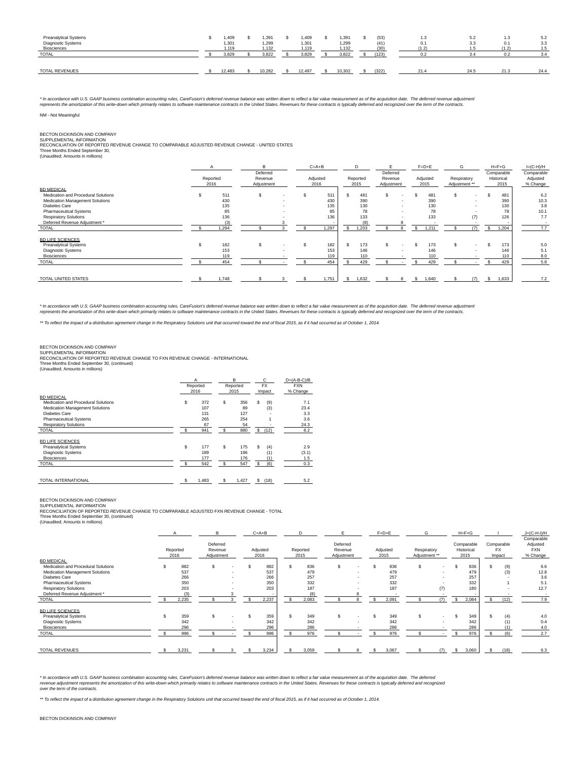| Preanalytical Systems<br>Diagnostic Systems<br><b>Biosciences</b> | 409،،<br>1,301<br>1.119 | .391<br>1,299<br>1.132 | .409<br>1,301<br>1.119 | .391<br>1,299<br>.132 | (53)<br>(41)<br>(30) | 1.3<br>0.1<br>(1.2) | 5.2<br>3.3 | 1.3<br>0.1<br>$\overline{\phantom{a}}$ | 5.2<br>3.3<br>1.5 |
|-------------------------------------------------------------------|-------------------------|------------------------|------------------------|-----------------------|----------------------|---------------------|------------|----------------------------------------|-------------------|
| <b>TOTAL</b>                                                      | 3.829                   | 3.822                  | 3.829                  | 3.822                 | (123)                | 0.2                 |            |                                        | 3.4               |
| TOTAL REVENUES                                                    | 12.483                  | 10.282                 | 12.497                 | 10.302                | (322)                | 21.4                | 24.5       | 21.3                                   | 24.4              |

\* In accordance with U.S. GAAP business combination accounting rules, CareFusion's deferred revenue balance was written down to reflect a fair value measurement as of the acquistion date. The deferred revenue of the experi

# NM - Not Meaningful

BECTON DICKINSON AND COMPANY<br>SUPPLEMENTAL INFORMATION<br>RECONCILIATION OF REPORTED REVENUE CHANGE TO COMPARABLE ADJUSTED REVENUE CHANGE - UNITED STATES

Three Months Ended September 30, (Unaudited; Amounts in millions)

|                                     | Reported<br>2016 | R<br>Deferred<br>Revenue<br>Adjustment |  | $C = A + B$<br>Adjusted<br>2016 |   | D<br>Reported<br>2015 | Deferred<br>Revenue<br>Adjustment |        |     | $F = D + E$<br>Adiusted<br>2015 | G<br>Respiratory<br>Adjustment ** |                          | $H = F + G$<br>Comparable<br>Historical<br>2015 | $I=(C-H)/H$<br>Comparable<br>Adjusted<br>% Change |
|-------------------------------------|------------------|----------------------------------------|--|---------------------------------|---|-----------------------|-----------------------------------|--------|-----|---------------------------------|-----------------------------------|--------------------------|-------------------------------------------------|---------------------------------------------------|
| <b>BD MEDICAL</b>                   |                  |                                        |  |                                 |   |                       |                                   |        |     |                                 |                                   |                          |                                                 |                                                   |
| Medication and Procedural Solutions | 511              | \$                                     |  | 511                             | s | 481                   |                                   |        |     | 481                             |                                   | $\overline{\phantom{a}}$ | 481                                             | 6.2                                               |
| Medication Management Solutions     | 430              |                                        |  | 430                             |   | 390                   |                                   |        |     | 390                             |                                   |                          | 390                                             | 10.3                                              |
| <b>Diabetes Care</b>                | 135              |                                        |  | 135                             |   | 130                   |                                   | $\sim$ |     | 130                             |                                   | $\sim$                   | 130                                             | 3.8                                               |
| <b>Pharmaceutical Systems</b>       | 85               |                                        |  | 85                              |   | 78                    |                                   | $\sim$ |     | 78                              |                                   |                          | 78                                              | 10.1                                              |
| <b>Respiratory Solutions</b>        | 136              |                                        |  | 136                             |   | 133                   |                                   |        |     | 133                             |                                   | (7)                      | 126                                             | 7.7                                               |
| Deferred Revenue Adjustment *       |                  |                                        |  |                                 |   |                       |                                   |        |     |                                 |                                   |                          |                                                 |                                                   |
| <b>TOTAL</b>                        | 1,294            |                                        |  | 1.297                           | s | 1,203                 |                                   | 8      | \$. | 1.211                           |                                   | (7)                      | 1.204                                           | 7.7                                               |
| <b>BD LIFE SCIENCES</b>             |                  |                                        |  |                                 |   |                       |                                   |        |     |                                 |                                   |                          |                                                 |                                                   |
| <b>Preanalytical Systems</b>        | 182              | \$                                     |  | 182                             |   | 173                   |                                   |        |     | 173                             |                                   | $\overline{\phantom{a}}$ | 173                                             | 5.0                                               |
| Diagnostic Systems                  | 153              |                                        |  | 153                             |   | 146                   |                                   |        |     | 146                             |                                   |                          | 146                                             | 5.1                                               |
| Biosciences                         | 119              |                                        |  | 119                             |   | 110                   |                                   |        |     | 110                             |                                   |                          | 110                                             | 8.0                                               |
| <b>TOTAL</b>                        | 454              |                                        |  | 454                             |   | 429                   |                                   |        |     | 429                             |                                   |                          | 429                                             | 5.8                                               |
|                                     |                  |                                        |  |                                 |   |                       |                                   |        |     |                                 |                                   |                          |                                                 |                                                   |
| TOTAL UNITED STATES                 | 1,748            |                                        |  | 1,751                           | s | 1,632                 |                                   | R      |     | 1,640                           |                                   | (7)                      | 1,633                                           | 7.2                                               |

\* In accordance with U.S. GAAP business combination accounting rules, CareFusion's deferred revenue balance was written down to reflect a fair value measurement as of the acquistion date. The deferred revenue of the experi

\*\* To reflect the impact of a distribution agreement change in the Respiratory Solutions unit that occurred toward the end of fiscal 2015, as if it had occurred as of October 1, 2014.

BECTON DICKINSON AND COMPANY<br>SUPPLEMENTAL INFORMATION<br>RECONCILIATION OF REPORTED REVENUE CHANGE TO FXN REVENUE CHANGE - INTERNATIONAL Three Months Ended September 30, (continued) (Unaudited; Amounts in millions)

|                                     |   | А<br>Reported<br>2016 |     | B<br>Reported<br>2015 |    | с<br><b>FX</b><br>Impact | $D=(A-B-C)/B$<br><b>FXN</b><br>% Change |
|-------------------------------------|---|-----------------------|-----|-----------------------|----|--------------------------|-----------------------------------------|
| <b>BD MEDICAL</b>                   |   |                       |     |                       |    |                          |                                         |
| Medication and Procedural Solutions | S | 372                   | \$  | 356                   | S  | (9)                      | 7.1                                     |
| Medication Management Solutions     |   | 107                   |     | 89                    |    | (3)                      | 23.4                                    |
| Diabetes Care                       |   | 131                   |     | 127                   |    |                          | 3.3                                     |
| <b>Pharmaceutical Systems</b>       |   | 265                   |     | 254                   |    |                          | 3.6                                     |
| <b>Respiratory Solutions</b>        |   | 67                    |     | 54                    |    |                          | 24.3                                    |
| <b>TOTAL</b>                        | S | 941                   | \$. | 880                   |    | \$ (12)                  | 8.2                                     |
| <b>BD LIFE SCIENCES</b>             |   |                       |     |                       |    |                          |                                         |
| <b>Preanalytical Systems</b>        | S | 177                   | \$  | 175                   | S  | (4)                      | 2.9                                     |
| <b>Diagnostic Systems</b>           |   | 189                   |     | 196                   |    | (1)                      | (3.1)                                   |
| <b>Biosciences</b>                  |   | 177                   |     | 176                   |    | (1)                      | 1.5                                     |
| <b>TOTAL</b>                        | S | 542                   | S   | 547                   | S  | (6)                      | 0.3                                     |
| <b>TOTAL INTERNATIONAL</b>          | s | 1,483                 | S   | 1,427                 | s. | (18)                     | 5.2                                     |

BECTON DICKINSON AND COMPANY

SUPPLEMENTAL INFORMATION RECONCILIATION OF REPORTED REVENUE CHANGE TO COMPARABLE ADJUSTED FXN REVENUE CHANGE - TOTAL

Three Months Ended September 30, (continued) (Unaudited; Amounts in millions)

|                                                          |                  | R                                 |        | $C = A + B$      |                  |                                   |   | $F=D+E$          |                              |        | $H = F + G$                      |    |                                   | $J=(C-H-I)/H$<br>Comparable        |
|----------------------------------------------------------|------------------|-----------------------------------|--------|------------------|------------------|-----------------------------------|---|------------------|------------------------------|--------|----------------------------------|----|-----------------------------------|------------------------------------|
|                                                          | Reported<br>2016 | Deferred<br>Revenue<br>Adjustment |        | Adjusted<br>2016 | Reported<br>2015 | Deferred<br>Revenue<br>Adjustment |   | Adjusted<br>2015 | Respiratory<br>Adjustment ** |        | Comparable<br>Historical<br>2015 |    | Comparable<br><b>FX</b><br>Impact | Adjusted<br><b>FXN</b><br>% Change |
| <b>BD MEDICAL</b><br>Medication and Procedural Solutions | 882              | \$.                               | ۰      | 882              | 836              |                                   |   | 836              | s                            | $\sim$ | 836                              |    | (9)                               | 6.6                                |
| Medication Management Solutions                          | 537              |                                   | ۰      | 537              | 479              |                                   |   | 479              |                              |        | 479                              |    | (3)                               | 12.8                               |
| <b>Diabetes Care</b>                                     | 266              |                                   | $\sim$ | 266              | 257              |                                   |   | 257              |                              |        | 257                              |    |                                   | 3.6                                |
| <b>Pharmaceutical Systems</b>                            | 350              |                                   | $\sim$ | 350              | 332              |                                   |   | 332              |                              |        | 332                              |    |                                   | 5.1                                |
| <b>Respiratory Solutions</b>                             | 203              |                                   |        | 203              | 187              |                                   |   | 187              |                              | (7)    | 180                              |    |                                   | 12.7                               |
| Deferred Revenue Adjustment *                            |                  |                                   |        |                  | (8)              |                                   |   |                  |                              |        |                                  |    |                                   | <b>.</b>                           |
| <b>TOTAL</b>                                             | 2,235            |                                   |        | 2,237            | 2,083            |                                   |   | 2,091            |                              |        | 2,084                            | s. | (12)                              | 7.9                                |
| <b>BD LIFE SCIENCES</b>                                  |                  |                                   |        |                  |                  |                                   |   |                  |                              |        |                                  |    |                                   |                                    |
| <b>Preanalytical Systems</b>                             | 359              |                                   |        | 359              | 349              |                                   |   | 349              |                              | $\sim$ | 349                              |    | (4)                               | 4.0                                |
| Diagnostic Systems                                       | 342              |                                   |        | 342              | 342              |                                   |   | 342              |                              |        | 342                              |    | (1)                               | 0.4                                |
| Biosciences                                              | 296              |                                   |        | 296              | 286              |                                   |   | 286              |                              |        | 286                              |    |                                   | 4.0                                |
| <b>TOTAL</b>                                             | 996              |                                   |        | 996              | 976              |                                   |   | 976              |                              |        | 976                              |    | (6)                               | 2.7                                |
| <b>TOTAL REVENUES</b>                                    | 3,231            |                                   | 3      | 3,234            | 3,059            |                                   | 8 | \$<br>3,067      |                              | (7)    | \$<br>3,060                      |    | (18)                              | 6.3                                |

\* In accordance with U.S. GAAP business combination accounting rules. CareFusion's deferred revenue balance was written down to reflect a fair value measurement as of the acquisition date. The deferred and recognized<br>reven

\*\* To reflect the impact of a distribution agreement change in the Respiratory Solutions unit that occurred toward the end of fiscal 2015, as if it had occurred as of October 1, 2014.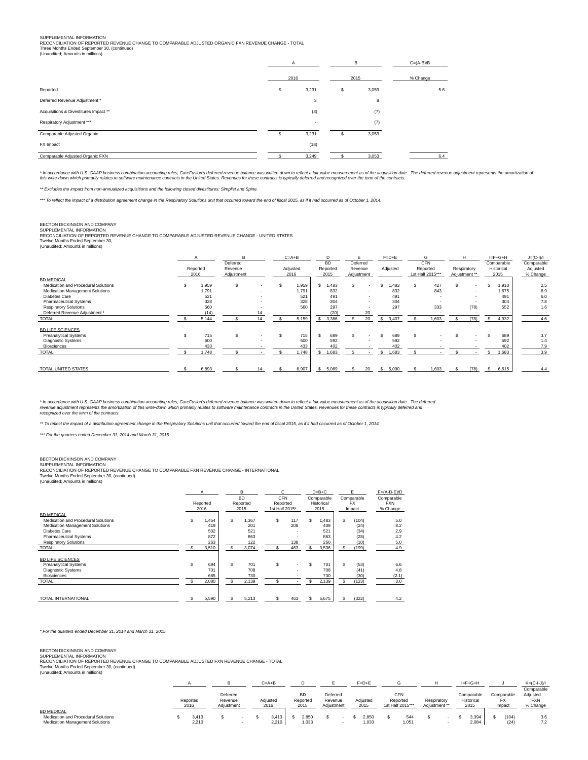SUPPLEMENTAL INFORMATION<br>RECONCILIATION OF REPORTED REVENUE CHANGE TO COMPARABLE ADJUSTED ORGANIC FXN REVENUE CHANGE - TOTAL<br>Three Months Ended September 30, (continued)<br>(Unaudited; Amounts in millions)

|                                       | A                        | B    |       | $C=(A-B)/B$ |
|---------------------------------------|--------------------------|------|-------|-------------|
|                                       | 2016                     | 2015 |       | % Change    |
| Reported                              | \$<br>3,231              | s    | 3,059 | 5.6         |
| Deferred Revenue Adjustment *         | 3                        |      | 8     |             |
| Acquisitions & Divestitures Impact ** | (3)                      |      | (7)   |             |
| Respiratory Adjustment ***            | $\overline{\phantom{a}}$ |      | (7)   |             |
| Comparable Adjusted Organic           | \$<br>3,231              | s    | 3,053 |             |
| FX Impact                             | (18)                     |      |       |             |
| Comparable Adjusted Organic FXN       | 3,249                    |      | 3,053 | 6.4         |

\* In accordance with U.S. GAAP business combination accounting rules, CareFusion's deferred revenue balance was written down to reflect a fair value measurement as of the seculation of<br>this write-down which primarily relat

\*\* Excludes the impact from non-annualized acquisitions and the following closed divestitures: Simplist and Spine.

\*\*\* To reflect the impact of a distribution agreement change in the Respiratory Solutions unit that occurred toward the end of fiscal 2015, as if it had occurred as of October 1, 2014.

# BECTON DICKINSON AND COMPANY

SUPPLEMENTAL INFORMATION<br>RECONCILIATION OF REPORTED REVENUE CHANGE TO COMPARABLE ADJUSTED REVENUE CHANGE - UNITED STATES<br>Twelve Months Ended September 30,<br>(Unaudited; Amounts in millions)

|                                                                                                                                                                               |   | Reported<br>2016                    | B<br>Deferred<br>Revenue<br>Adjustment |          | $C = A + B$<br>Adjusted<br>2016     | D<br><b>BD</b><br>Reported<br>2015     | Deferred<br>Revenue<br>Adjustment                              | $F=D+E$<br>Adjusted                   | G<br>CFN<br>Reported<br>1st Half 2015*** |                   | H<br>Respiratory<br>Adjustment ** |                | $I = F + G + H$<br>Comparable<br>Historical<br>2015 | $J=(C-I)/I$<br>Comparable<br>Adjusted<br>% Change |
|-------------------------------------------------------------------------------------------------------------------------------------------------------------------------------|---|-------------------------------------|----------------------------------------|----------|-------------------------------------|----------------------------------------|----------------------------------------------------------------|---------------------------------------|------------------------------------------|-------------------|-----------------------------------|----------------|-----------------------------------------------------|---------------------------------------------------|
| <b>BD MEDICAL</b><br>Medication and Procedural Solutions<br>Medication Management Solutions<br>Diabetes Care<br><b>Pharmaceutical Systems</b><br><b>Respiratory Solutions</b> | S | 1,959<br>1.791<br>521<br>328<br>560 | \$.                                    |          | 1,959<br>1.791<br>521<br>328<br>560 | .483<br>£.<br>832<br>491<br>304<br>297 | $\overline{\phantom{a}}$<br>$\sim$<br>$\overline{\phantom{a}}$ | ,483<br>S<br>832<br>491<br>304<br>297 |                                          | 427<br>843<br>333 |                                   | $\sim$<br>(78) | 1,910<br>1.675<br>491<br>304<br>552                 | 2.5<br>6.9<br>6.0<br>7.8<br>1.6                   |
| Deferred Revenue Adjustment *<br><b>TOTAL</b>                                                                                                                                 |   | (14)<br>5,144                       |                                        | 14<br>14 | 5,159                               | (20)<br>3,386                          | 20<br>20                                                       | 3.407                                 |                                          | .603              |                                   | (78)           | 4.932                                               | 4.6                                               |
| <b>BD LIFE SCIENCES</b><br><b>Preanalytical Systems</b><br>Diagnostic Systems<br><b>Biosciences</b><br><b>TOTAL</b>                                                           |   | 715<br>600<br>433<br>1,748          |                                        |          | 715<br>600<br>433<br>1.748          | 689<br>592<br>402<br>1,683<br>D.       | $\sim$                                                         | 689<br>592<br>402<br>1,683<br>ь       |                                          |                   |                                   |                | 689<br>592<br>402<br>1,683                          | 3.7<br>1.4<br>7.9<br>3.9                          |
| TOTAL UNITED STATES                                                                                                                                                           |   | 6,893                               |                                        | 14       | 6,907                               | 5,069<br>s.                            | 20                                                             | 5,090<br>S                            |                                          | 1,603             |                                   | (78)           | 6,615                                               | 4.4                                               |

\* In accordance with U.S. GAAP business combination accounting rules, CareFusion's deferred revenue balance was written down to reflect a fair value measurement as of the acquisition date. The deferred and<br>revenue adjustme

\*\* To reflect the impact of a distribution agreement change in the Respiratory Solutions unit that occurred toward the end of fiscal 2015, as if it had occurred as of October 1, 2014.

\*\*\* For the quarters ended December 31, 2014 and March 31, 2015.

# BECTON DICKINSON AND COMPANY<br>SUPPLEMENTAL INFORMATION

SUPPLEMENTAL INFORMATION<br>RECONCILIATION OF REPORTED REVENUE CHANGE TO COMPARABLE FXN REVENUE CHANGE - INTERNATIONAL<br>Twelve Months Ended September 30, (continued)<br>(Unaudited; Amounts in millions)

|                                                                                                                                                                                                      | A<br>Reported<br>2016                      |            | B<br><b>BD</b><br>Reported<br>2015         | Ć<br><b>CFN</b><br>Reported<br>1st Half 2015* |                                                           |           | $D=B+C$<br>Comparable<br>Historical<br>2015      |         | F<br>Comparable<br><b>FX</b><br>Impact         | $F=(A-D-E)/D$<br>Comparable<br><b>FXN</b><br>% Change |
|------------------------------------------------------------------------------------------------------------------------------------------------------------------------------------------------------|--------------------------------------------|------------|--------------------------------------------|-----------------------------------------------|-----------------------------------------------------------|-----------|--------------------------------------------------|---------|------------------------------------------------|-------------------------------------------------------|
| <b>BD MEDICAL</b><br>Medication and Procedural Solutions<br>Medication Management Solutions<br><b>Diabetes Care</b><br><b>Pharmaceutical Systems</b><br><b>Respiratory Solutions</b><br><b>TOTAL</b> | 1,454<br>419<br>502<br>872<br>263<br>3,510 | \$.<br>\$. | 1,367<br>201<br>521<br>863<br>122<br>3,074 | \$<br>S                                       | 117<br>208<br>٠<br>$\overline{\phantom{a}}$<br>138<br>463 | \$<br>\$. | <b>.483</b><br>409<br>521<br>863<br>260<br>3,536 | S<br>s. | (104)<br>(24)<br>(34)<br>(28)<br>(10)<br>(199) | 5.0<br>8.2<br>2.9<br>4.2<br>5.0<br>4.9                |
| <b>BD LIFE SCIENCES</b><br><b>Preanalytical Systems</b><br><b>Diagnostic Systems</b><br><b>Biosciences</b><br><b>TOTAL</b>                                                                           | 694<br>701<br>685<br>2.080                 |            | 701<br>708<br>730<br>2.139                 | \$                                            | $\overline{\phantom{a}}$<br>۰                             | S<br>\$   | 701<br>708<br>730<br>2.139                       | S<br>S. | (53)<br>(41)<br>(30)<br>(123)                  | 6.6<br>4.8<br>(2.1)<br>3.0                            |
| TOTAL INTERNATIONAL                                                                                                                                                                                  | 5,590                                      |            | 5.213                                      | \$                                            | 463                                                       | \$        | 5,675                                            | s       | (322)                                          | 4.2                                                   |

# \* For the quarters ended December 31, 2014 and March 31, 2015.

# BECTON DICKINSON AND COMPANY

SUPPLEMENTAL INFORMATION RECONCILIATION OF REPORTED REVENUE CHANGE TO COMPARABLE ADJUSTED FXN REVENUE CHANGE - TOTAL

Twelve Months Ended September 30, (continued) (Unaudited; Amounts in millions)

|                                     |                  |                                   |   | $C = A + B$      |                               |                                   |  | $F = D + E$      |                                            |                              |  | $I = F + G + H$                  |                                   | $K=(C-I-J)/I$                                    |
|-------------------------------------|------------------|-----------------------------------|---|------------------|-------------------------------|-----------------------------------|--|------------------|--------------------------------------------|------------------------------|--|----------------------------------|-----------------------------------|--------------------------------------------------|
|                                     | Reported<br>2016 | Deferred<br>Revenue<br>Adiustment |   | Adiusted<br>2016 | <b>BD</b><br>Reported<br>2015 | Deferred<br>Revenue<br>Adiustment |  | Adiusted<br>2015 | <b>CFN</b><br>Reported<br>1st Half 2015*** | Respiratory<br>Adiustment ** |  | Comparable<br>Historical<br>2015 | Comparable<br><b>FX</b><br>Impact | Comparable<br>Adjusted<br><b>FXN</b><br>% Change |
| <b>BD MEDICAL</b>                   |                  |                                   |   |                  |                               |                                   |  |                  |                                            |                              |  |                                  |                                   |                                                  |
| Medication and Procedural Solutions | 3.413            |                                   |   | 3.413            | 2.850                         |                                   |  | 2.850            | 544                                        |                              |  | 3.394                            | (104)                             | 3.6                                              |
| Medication Management Solutions     | 2,210            |                                   | - | 2,210            | 1,033                         |                                   |  | 1,033            | 1,051                                      |                              |  | 2,084                            | (24)                              | 7.2                                              |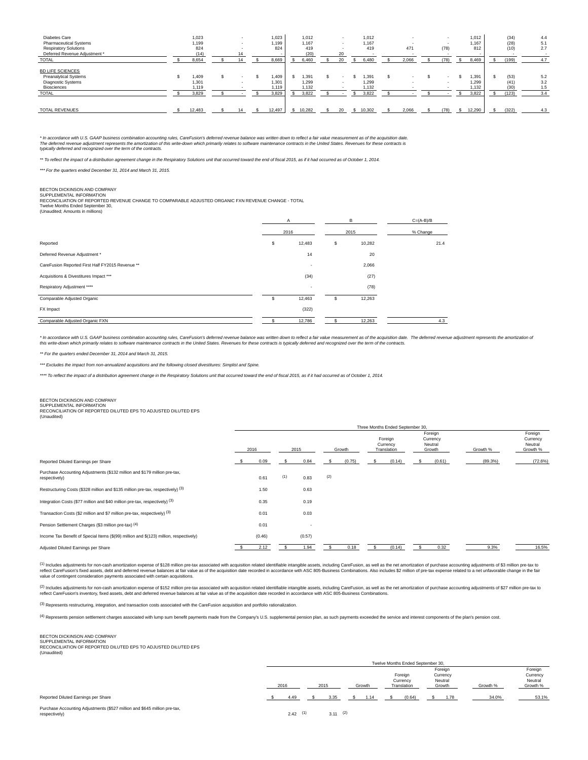| Diabetes Care<br><b>Pharmaceutical Systems</b><br><b>Respiratory Solutions</b><br>Deferred Revenue Adjustment *<br><b>TOTAL</b> | 1,023<br>1,199<br>824<br>(14)<br>8,654 | $\sim$<br>$\overline{\phantom{a}}$<br>14<br>14 | 1.023<br>1.199<br>824<br>8.669   | 1,012<br>1.167<br>419<br>(20)<br>6,460 | $\overline{a}$<br>$\sim$<br>20<br>20 | 1,012<br>1,167<br>419<br>6.480   | 471<br>. .<br>2,066 | $\overline{\phantom{a}}$<br>$\sim$<br>(78)<br>$\overline{\phantom{a}}$<br>(78) | 1,012<br>1.167<br>812<br>8,469  | (34)<br>(28)<br>(10)<br>. .<br>(199) | 4.4<br>5.1<br>2.7<br>4.7 |
|---------------------------------------------------------------------------------------------------------------------------------|----------------------------------------|------------------------------------------------|----------------------------------|----------------------------------------|--------------------------------------|----------------------------------|---------------------|--------------------------------------------------------------------------------|---------------------------------|--------------------------------------|--------------------------|
| <b>BD LIFE SCIENCES</b><br><b>Preanalytical Systems</b><br>Diagnostic Systems<br>Biosciences<br><b>TOTAL</b>                    | 1.409<br>1,301<br>1.119<br>3,829       | $\sim$                                         | 1.409<br>1.301<br>1.119<br>3.829 | 1,391<br>1.299<br>1.132<br>3.822       |                                      | 1.391<br>1.299<br>1.132<br>3,822 |                     | $\overline{\phantom{a}}$                                                       | .391<br>1.299<br>1,132<br>3.822 | (53)<br>(41)<br>(30)<br>(123)        | 5.2<br>3.2<br>1.5<br>3.4 |
| <b>TOTAL REVENUES</b>                                                                                                           | 12.483                                 |                                                | 12,497                           | 10.282                                 |                                      | 10.302                           | 2,066               | (78)                                                                           | 12.290                          | (322)                                | 4.3                      |

\* In accordance with U.S. GAAP business combination accounting rules, CareFusion's deferred response that witten down to reflect a fair value measurement as of the aquisition date.<br>The deferred revenue adjustment represent typically deferred and recognized over the term of the contracts.

\*\* To reflect the impact of a distribution agreement change in the Respiratory Solutions unit that occurred toward the end of fiscal 2015, as if it had occurred as of October 1, 2014.

\*\*\* For the quarters ended December 31, 2014 and March 31, 2015.

BECTON DICKINSON AND COMPANY<br>SUPPLEMENTAL INFORMATION<br>RECONCILIATION OF REPORTED REVENUE CHANGE TO COMPARABLE ADJUSTED ORGANIC FXN REVENUE CHANGE - TOTAL

Twelve Months Ended September 30, (Unaudited; Amounts in millions)

|                                                  |    | A      | B            | $C=(A-B)/B$ |
|--------------------------------------------------|----|--------|--------------|-------------|
|                                                  |    | 2016   | 2015         | % Change    |
| Reported                                         | \$ | 12,483 | \$<br>10,282 | 21.4        |
| Deferred Revenue Adjustment *                    |    | 14     | 20           |             |
| CareFusion Reported First Half FY2015 Revenue ** |    |        | 2,066        |             |
| Acquisitions & Divestitures Impact ***           |    | (34)   | (27)         |             |
| Respiratory Adjustment ****                      |    |        | (78)         |             |
| Comparable Adjusted Organic                      | S  | 12,463 | \$<br>12,263 |             |
| FX Impact                                        |    | (322)  |              |             |
| Comparable Adjusted Organic FXN                  |    | 12,786 | 12,263       | 4.3         |

\* In accordance with U.S. GAAP business combination accounting rules, CareFusion's deferred revenue balance was written down to reflect a fair value measurement as of the seculation of<br>this write-down which primarily relat

\*\* For the quarters ended December 31, 2014 and March 31, 2015.

\*\*\* Excludes the impact from non-annualized acquisitions and the following closed divestitures: Simplist and Spine

\*\*\*\* To reflect the impact of a distribution agreement change in the Respiratory Solutions unit that occurred toward the end of fiscal 2015, as if it had occurred as of October 1, 2014.

# BECTON DICKINSON AND COMPANY

SUPPLEMENTAL INFORMATION RECONCILIATION OF REPORTED DILUTED EPS TO ADJUSTED DILUTED EPS

(Unaudited)

|                                                                                            |        |     |        |     |        | Three Months Ended September 30,   |                                          |          |                                            |
|--------------------------------------------------------------------------------------------|--------|-----|--------|-----|--------|------------------------------------|------------------------------------------|----------|--------------------------------------------|
|                                                                                            | 2016   |     | 2015   |     | Growth | Foreign<br>Currency<br>Translation | Foreign<br>Currency<br>Neutral<br>Growth | Growth % | Foreign<br>Currency<br>Neutral<br>Growth % |
| Reported Diluted Earnings per Share                                                        | 0.09   |     | 0.84   | ь   | (0.75) | (0.14)                             | (0.61)                                   | (89.3%)  | (72.6%)                                    |
| Purchase Accounting Adjustments (\$132 million and \$179 million pre-tax,<br>respectively) | 0.61   | (1) | 0.83   | (2) |        |                                    |                                          |          |                                            |
| Restructuring Costs (\$328 million and \$135 million pre-tax, respectively) (3)            | 1.50   |     | 0.63   |     |        |                                    |                                          |          |                                            |
| Integration Costs (\$77 million and \$40 million pre-tax, respectively) (3)                | 0.35   |     | 0.19   |     |        |                                    |                                          |          |                                            |
| Transaction Costs (\$2 million and \$7 million pre-tax, respectively) (3)                  | 0.01   |     | 0.03   |     |        |                                    |                                          |          |                                            |
| Pension Settlement Charges (\$3 million pre-tax) (4)                                       | 0.01   |     |        |     |        |                                    |                                          |          |                                            |
| Income Tax Benefit of Special Items (\$(99) million and \$(123) million, respectively)     | (0.46) |     | (0.57) |     |        |                                    |                                          |          |                                            |
| Adjusted Diluted Earnings per Share                                                        | 2.12   |     | 1.94   |     | 0.18   | (0.14)                             | 0.32                                     | 9.3%     | 16.5%                                      |

(1) Includes adjustments for non-cash amortization expense of \$128 million pre-tax associated with acquisition related identifiable intangible assets, including CareFusion, as well as the net amortization of purchase accou value of contingent consideration payments associated with certain acquisitions.

(2) Includes adjustments for non-cash amortization expense of \$152 million pre-tax associated with acquisition related identifiable intangible assets, including CareFusion, as well as the net amortization of purchase accou

(3) Represents restructuring, integration, and transaction costs associated with the CareFusion acquisition and portfolio rationalization.

(4) Represents pension settlement charges associated with lump sum benefit payments made from the Company's U.S. supplemental pension plan, as such payments exceeded the service and interest components of the plan's pensio

# BECTON DICKINSON AND COMPANY

SUPPLEMENTAL INFORMATION RECONCILIATION OF REPORTED DILUTED EPS TO ADJUSTED DILUTED EPS (Unaudited)

|                                                                                            |            |            |        | Twelve Months Ended September 30,  |                                          |          |                                            |  |
|--------------------------------------------------------------------------------------------|------------|------------|--------|------------------------------------|------------------------------------------|----------|--------------------------------------------|--|
|                                                                                            | 2016       | 2015       | Growth | Foreign<br>Currency<br>Translation | Foreign<br>Currency<br>Neutral<br>Growth | Growth % | Foreign<br>Currency<br>Neutral<br>Growth % |  |
| Reported Diluted Earnings per Share                                                        | 4.49       | 3.35       | 1.14   | (0.64)                             | 1.78                                     | 34.0%    | 53.1%                                      |  |
| Purchase Accounting Adjustments (\$527 million and \$645 million pre-tax,<br>respectively) | $2.42$ (1) | $3.11$ (2) |        |                                    |                                          |          |                                            |  |